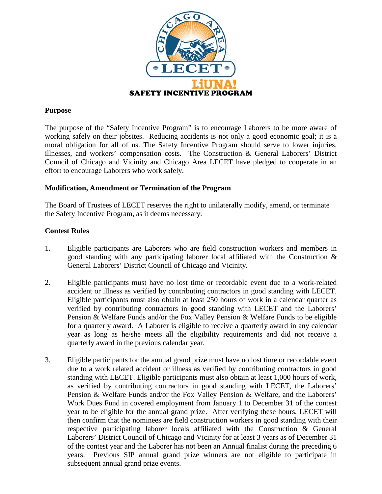

### **Purpose**

The purpose of the "Safety Incentive Program" is to encourage Laborers to be more aware of working safely on their jobsites. Reducing accidents is not only a good economic goal; it is a moral obligation for all of us. The Safety Incentive Program should serve to lower injuries, illnesses, and workers' compensation costs. The Construction & General Laborers' District Council of Chicago and Vicinity and Chicago Area LECET have pledged to cooperate in an effort to encourage Laborers who work safely.

#### **Modification, Amendment or Termination of the Program**

The Board of Trustees of LECET reserves the right to unilaterally modify, amend, or terminate the Safety Incentive Program, as it deems necessary.

### **Contest Rules**

- 1. Eligible participants are Laborers who are field construction workers and members in good standing with any participating laborer local affiliated with the Construction & General Laborers' District Council of Chicago and Vicinity.
- 2. Eligible participants must have no lost time or recordable event due to a work-related accident or illness as verified by contributing contractors in good standing with LECET. Eligible participants must also obtain at least 250 hours of work in a calendar quarter as verified by contributing contractors in good standing with LECET and the Laborers' Pension & Welfare Funds and/or the Fox Valley Pension & Welfare Funds to be eligible for a quarterly award. A Laborer is eligible to receive a quarterly award in any calendar year as long as he/she meets all the eligibility requirements and did not receive a quarterly award in the previous calendar year.
- 3. Eligible participants for the annual grand prize must have no lost time or recordable event due to a work related accident or illness as verified by contributing contractors in good standing with LECET. Eligible participants must also obtain at least 1,000 hours of work, as verified by contributing contractors in good standing with LECET, the Laborers' Pension & Welfare Funds and/or the Fox Valley Pension & Welfare, and the Laborers' Work Dues Fund in covered employment from January 1 to December 31 of the contest year to be eligible for the annual grand prize. After verifying these hours, LECET will then confirm that the nominees are field construction workers in good standing with their respective participating laborer locals affiliated with the Construction & General Laborers' District Council of Chicago and Vicinity for at least 3 years as of December 31 of the contest year and the Laborer has not been an Annual finalist during the preceding 6 years. Previous SIP annual grand prize winners are not eligible to participate in subsequent annual grand prize events.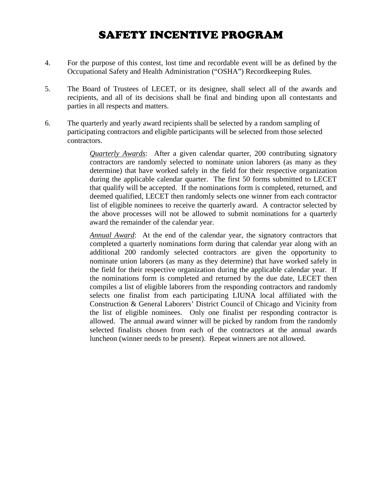# SAFETY INCENTIVE PROGRAM

- 4. For the purpose of this contest, lost time and recordable event will be as defined by the Occupational Safety and Health Administration ("OSHA") Recordkeeping Rules.
- 5. The Board of Trustees of LECET, or its designee, shall select all of the awards and recipients, and all of its decisions shall be final and binding upon all contestants and parties in all respects and matters.
- 6. The quarterly and yearly award recipients shall be selected by a random sampling of participating contractors and eligible participants will be selected from those selected contractors.

*Quarterly Awards*: After a given calendar quarter, 200 contributing signatory contractors are randomly selected to nominate union laborers (as many as they determine) that have worked safely in the field for their respective organization during the applicable calendar quarter. The first 50 forms submitted to LECET that qualify will be accepted. If the nominations form is completed, returned, and deemed qualified, LECET then randomly selects one winner from each contractor list of eligible nominees to receive the quarterly award. A contractor selected by the above processes will not be allowed to submit nominations for a quarterly award the remainder of the calendar year.

*Annual Award*: At the end of the calendar year, the signatory contractors that completed a quarterly nominations form during that calendar year along with an additional 200 randomly selected contractors are given the opportunity to nominate union laborers (as many as they determine) that have worked safely in the field for their respective organization during the applicable calendar year. If the nominations form is completed and returned by the due date, LECET then compiles a list of eligible laborers from the responding contractors and randomly selects one finalist from each participating LIUNA local affiliated with the Construction & General Laborers' District Council of Chicago and Vicinity from the list of eligible nominees. Only one finalist per responding contractor is allowed. The annual award winner will be picked by random from the randomly selected finalists chosen from each of the contractors at the annual awards luncheon (winner needs to be present). Repeat winners are not allowed.